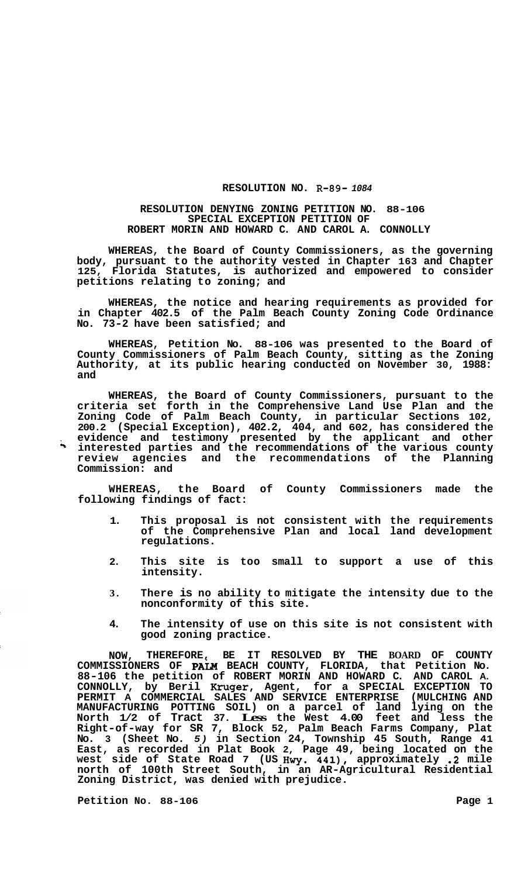## **RESOLUTION NO. R-89-** *1084*

## **RESOLUTION DENYING ZONING PETITION NO. 88-106 SPECIAL EXCEPTION PETITION OF ROBERT MORIN AND HOWARD C. AND CAROL A. CONNOLLY**

**WHEREAS, the Board of County Commissioners, as the governing body, pursuant to the authority vested in Chapter 163 and Chapter 125, Florida Statutes, is authorized and empowered to consider petitions relating to zoning; and** 

**WHEREAS, the notice and hearing requirements as provided for in Chapter 402.5 of the Palm Beach County Zoning Code Ordinance No. 73-2 have been satisfied; and** 

**WHEREAS, Petition No. 88-106 was presented to the Board of County Commissioners of Palm Beach County, sitting as the Zoning Authority, at its public hearing conducted on November 30, 1988: and** 

**WHEREAS, the Board of County Commissioners, pursuant to the criteria set forth in the Comprehensive Land Use Plan and the Zoning Code of Palm Beach County, in particular Sections 102, 200.2 (Special Exception), 402.2, 404, and 602, has considered the** , **evidence and testimony presented by the applicant and other** .5 **interested parties and the recommendations of the various county review agencies and the recommendations of the Planning Commission: and** 

**WHEREAS, the Board of County Commissioners made the following findings of fact:** 

- **1. This proposal is not consistent with the requirements of the Comprehensive Plan and local land development regulations.**
- **2. This site is too small to support a use of this intensity.**
- **3. There is no ability to mitigate the intensity due to the nonconformity of this site.**
- **4. The intensity of use on this site is not consistent with good zoning practice.**

**NOW, THEREFORE, BE IT RESOLVED BY THE BOARD OF COUNTY**  COMMISSIONERS OF PALM BEACH COUNTY, FLORIDA, that Petition No. **88-106 the petition of ROBERT MORIN AND HOWARD C. AND CAROL A. CONNOLLY, by Beril Kruger, Agent, for a SPECIAL EXCEPTION TO PERMIT A COMMERCIAL SALES AND SERVICE ENTERPRISE (MULCHING AND MANUFACTURING POTTING SOIL) on a parcel of land lying on the North 1/2 of Tract 37. Less the West 4.00 feet and less the Right-of-way for SR 7, Block 52, Palm Beach Farms Company, Plat No. 3 (Sheet No.** *5)* **in Section 24, Township 45 South, Range 41 East, as recorded in Plat Book 2, Page 49, being located on the west side of State Road 7 (US Hwy. 441), approximately .2 mile north of 100th Street South, in an AR-Agricultural Residential Zoning District, was denied with prejudice.** 

**Petition No. 88-106 Page 1**